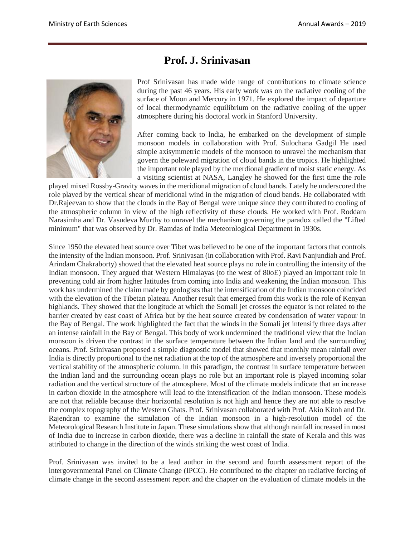## **Prof. J. Srinivasan**



Prof Srinivasan has made wide range of contributions to climate science during the past 46 years. His early work was on the radiative cooling of the surface of Moon and Mercury in 1971. He explored the impact of departure of local thermodynamic equilibrium on the radiative cooling of the upper atmosphere during his doctoral work in Stanford University.

After coming back to lndia, he embarked on the development of simple monsoon models in collaboration with Prof. Sulochana Gadgil He used simple axisymmetric models of the monsoon to unravel the mechanism that govern the poleward migration of cloud bands in the tropics. He highlighted the important role played by the merdional gradient of moist static energy. As a visiting scientist at NASA, Langley he showed for the first time the role

played mixed Rossby-Gravity waves in the meridional migration of cloud bands. Lately he underscored the role played by the vertical shear of meridional wind in the migration of cloud bands. He collaborated with Dr.Rajeevan to show that the clouds in the Bay of Bengal were unique since they contributed to cooling of the atmospheric column in view of the high reflectivity of these clouds. He worked with Prof. Roddam Narasimha and Dr. Vasudeva Murthy to unravel the mechanism governing the paradox called the "Lifted minimum" that was observed by Dr. Ramdas of India Meteorological Department in 1930s.

Since 1950 the elevated heat source over Tibet was believed to be one of the important factors that controls the intensity of the lndian monsoon. Prof. Srinivasan (in collaboration with Prof. Ravi Nanjundiah and Prof. Arindam Chakraborty) showed that the elevated heat source plays no role in controlling the intensity of the Indian monsoon. They argued that Western Himalayas (to the west of 80oE) played an important role in preventing cold air from higher latitudes from coming into India and weakening the Indian monsoon. This work has undermined the claim made by geologists that the intensification of the Indian monsoon coincided with the elevation of the Tibetan plateau. Another result that emerged from this work is the role of Kenyan highlands. They showed that the longitude at which the Somali jet crosses the equator is not related to the barrier created by east coast of Africa but by the heat source created by condensation of water vapour in the Bay of Bengal. The work highlighted the fact that the winds in the Somali jet intensify three days after an intense rainfall in the Bay of Bengal. This body of work undermined the traditional view that the Indian monsoon is driven the contrast in the surface temperature between the Indian land and the surrounding oceans. Prof. Srinivasan proposed a simple diagnostic model that showed that monthly mean rainfall over India is directly proportional to the net radiation at the top of the atmosphere and inversely proportional the vertical stability of the atmospheric column. ln this paradigm, the contrast in surface temperature between the Indian land and the surrounding ocean plays no role but an important role is played incoming solar radiation and the vertical structure of the atmosphere. Most of the climate models indicate that an increase in carbon dioxide in the atmosphere will lead to the intensification of the Indian monsoon. These models are not that reliable because their horizontal resolution is not high and hence they are not able to resolve the complex topography of the Western Ghats. Prof. Srinivasan collaborated with Prof. Akio Kitoh and Dr. Rajendran to examine the simulation of the Indian monsoon in a high-resolution model of the Meteorological Research Institute in Japan. These simulations show that although rainfall increased in most of India due to increase in carbon dioxide, there was a decline in rainfall the state of Kerala and this was attributed to change in the direction of the winds striking the west coast of India.

Prof. Srinivasan was invited to be a lead author in the second and fourth assessment report of the lntergovernmental Panel on Climate Change (IPCC). He contributed to the chapter on radiative forcing of climate change in the second assessment report and the chapter on the evaluation of climate models in the